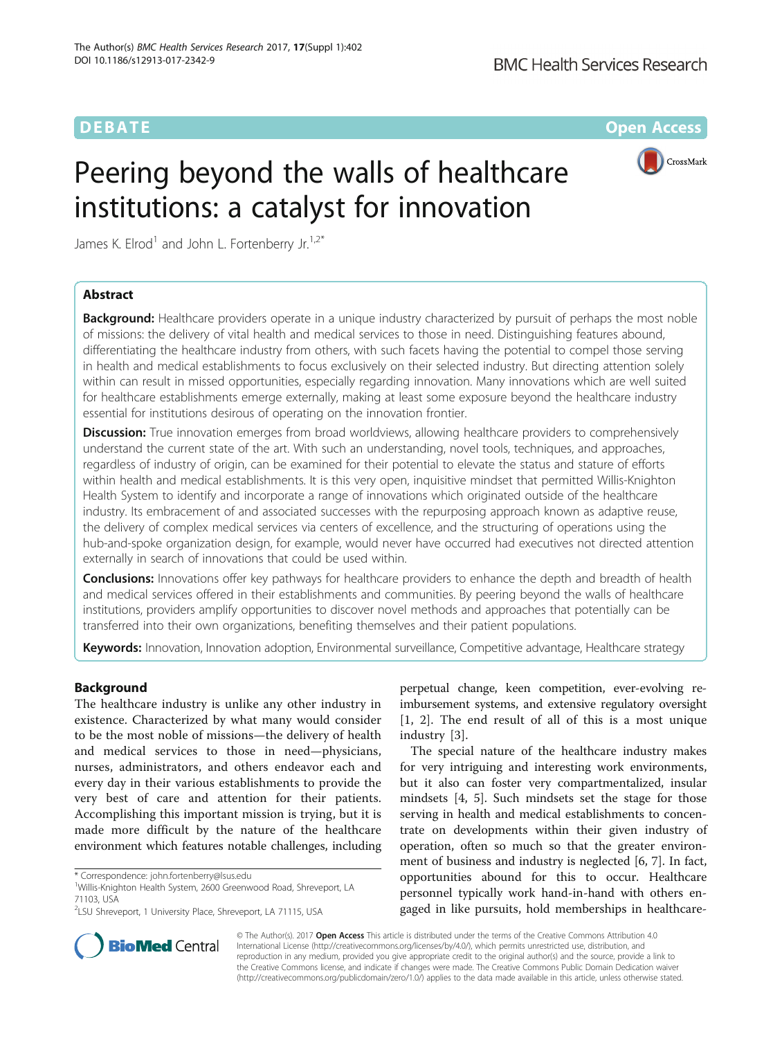**DEBATE CONSERVATION CONSERVATION** 

CrossMark

# Peering beyond the walls of healthcare institutions: a catalyst for innovation

James K. Elrod<sup>1</sup> and John L. Fortenberry Jr.<sup>1,2\*</sup>

# Abstract

**Background:** Healthcare providers operate in a unique industry characterized by pursuit of perhaps the most noble of missions: the delivery of vital health and medical services to those in need. Distinguishing features abound, differentiating the healthcare industry from others, with such facets having the potential to compel those serving in health and medical establishments to focus exclusively on their selected industry. But directing attention solely within can result in missed opportunities, especially regarding innovation. Many innovations which are well suited for healthcare establishments emerge externally, making at least some exposure beyond the healthcare industry essential for institutions desirous of operating on the innovation frontier.

**Discussion:** True innovation emerges from broad worldviews, allowing healthcare providers to comprehensively understand the current state of the art. With such an understanding, novel tools, techniques, and approaches, regardless of industry of origin, can be examined for their potential to elevate the status and stature of efforts within health and medical establishments. It is this very open, inquisitive mindset that permitted Willis-Knighton Health System to identify and incorporate a range of innovations which originated outside of the healthcare industry. Its embracement of and associated successes with the repurposing approach known as adaptive reuse, the delivery of complex medical services via centers of excellence, and the structuring of operations using the hub-and-spoke organization design, for example, would never have occurred had executives not directed attention externally in search of innovations that could be used within.

**Conclusions:** Innovations offer key pathways for healthcare providers to enhance the depth and breadth of health and medical services offered in their establishments and communities. By peering beyond the walls of healthcare institutions, providers amplify opportunities to discover novel methods and approaches that potentially can be transferred into their own organizations, benefiting themselves and their patient populations.

Keywords: Innovation, Innovation adoption, Environmental surveillance, Competitive advantage, Healthcare strategy

# Background

The healthcare industry is unlike any other industry in existence. Characterized by what many would consider to be the most noble of missions—the delivery of health and medical services to those in need—physicians, nurses, administrators, and others endeavor each and every day in their various establishments to provide the very best of care and attention for their patients. Accomplishing this important mission is trying, but it is made more difficult by the nature of the healthcare environment which features notable challenges, including

<sup>1</sup>Willis-Knighton Health System, 2600 Greenwood Road, Shreveport, LA 71103, USA

perpetual change, keen competition, ever-evolving reimbursement systems, and extensive regulatory oversight [[1](#page-3-0), [2\]](#page-3-0). The end result of all of this is a most unique industry [\[3](#page-3-0)].

The special nature of the healthcare industry makes for very intriguing and interesting work environments, but it also can foster very compartmentalized, insular mindsets [\[4](#page-3-0), [5\]](#page-3-0). Such mindsets set the stage for those serving in health and medical establishments to concentrate on developments within their given industry of operation, often so much so that the greater environment of business and industry is neglected [\[6](#page-3-0), [7](#page-3-0)]. In fact, opportunities abound for this to occur. Healthcare personnel typically work hand-in-hand with others engaged in like pursuits, hold memberships in healthcare-



© The Author(s). 2017 **Open Access** This article is distributed under the terms of the Creative Commons Attribution 4.0 International License [\(http://creativecommons.org/licenses/by/4.0/](http://creativecommons.org/licenses/by/4.0/)), which permits unrestricted use, distribution, and reproduction in any medium, provided you give appropriate credit to the original author(s) and the source, provide a link to the Creative Commons license, and indicate if changes were made. The Creative Commons Public Domain Dedication waiver [\(http://creativecommons.org/publicdomain/zero/1.0/](http://creativecommons.org/publicdomain/zero/1.0/)) applies to the data made available in this article, unless otherwise stated.

<sup>\*</sup> Correspondence: [john.fortenberry@lsus.edu](mailto:john.fortenberry@lsus.edu) <sup>1</sup>

<sup>&</sup>lt;sup>2</sup>LSU Shreveport, 1 University Place, Shreveport, LA 71115, USA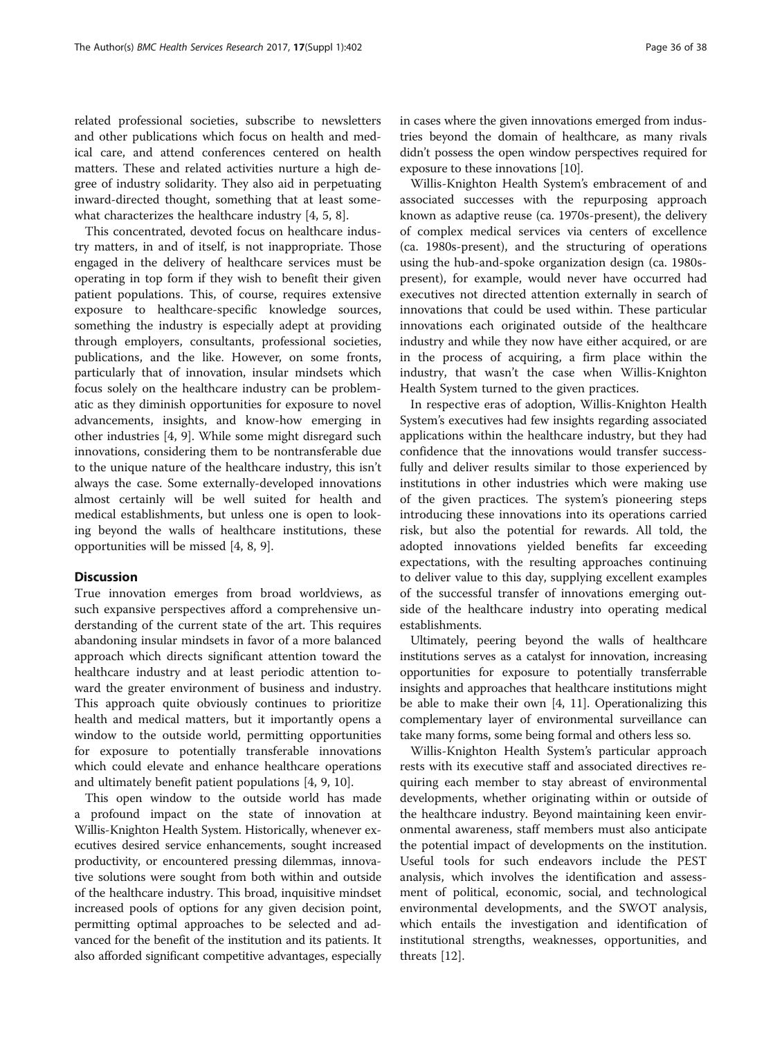related professional societies, subscribe to newsletters and other publications which focus on health and medical care, and attend conferences centered on health matters. These and related activities nurture a high degree of industry solidarity. They also aid in perpetuating inward-directed thought, something that at least somewhat characterizes the healthcare industry [[4, 5, 8\]](#page-3-0).

This concentrated, devoted focus on healthcare industry matters, in and of itself, is not inappropriate. Those engaged in the delivery of healthcare services must be operating in top form if they wish to benefit their given patient populations. This, of course, requires extensive exposure to healthcare-specific knowledge sources, something the industry is especially adept at providing through employers, consultants, professional societies, publications, and the like. However, on some fronts, particularly that of innovation, insular mindsets which focus solely on the healthcare industry can be problematic as they diminish opportunities for exposure to novel advancements, insights, and know-how emerging in other industries [[4, 9\]](#page-3-0). While some might disregard such innovations, considering them to be nontransferable due to the unique nature of the healthcare industry, this isn't always the case. Some externally-developed innovations almost certainly will be well suited for health and medical establishments, but unless one is open to looking beyond the walls of healthcare institutions, these opportunities will be missed [\[4](#page-3-0), [8](#page-3-0), [9](#page-3-0)].

# **Discussion**

True innovation emerges from broad worldviews, as such expansive perspectives afford a comprehensive understanding of the current state of the art. This requires abandoning insular mindsets in favor of a more balanced approach which directs significant attention toward the healthcare industry and at least periodic attention toward the greater environment of business and industry. This approach quite obviously continues to prioritize health and medical matters, but it importantly opens a window to the outside world, permitting opportunities for exposure to potentially transferable innovations which could elevate and enhance healthcare operations and ultimately benefit patient populations [\[4](#page-3-0), [9](#page-3-0), [10](#page-3-0)].

This open window to the outside world has made a profound impact on the state of innovation at Willis-Knighton Health System. Historically, whenever executives desired service enhancements, sought increased productivity, or encountered pressing dilemmas, innovative solutions were sought from both within and outside of the healthcare industry. This broad, inquisitive mindset increased pools of options for any given decision point, permitting optimal approaches to be selected and advanced for the benefit of the institution and its patients. It also afforded significant competitive advantages, especially

Willis-Knighton Health System's embracement of and associated successes with the repurposing approach known as adaptive reuse (ca. 1970s-present), the delivery of complex medical services via centers of excellence (ca. 1980s-present), and the structuring of operations using the hub-and-spoke organization design (ca. 1980spresent), for example, would never have occurred had executives not directed attention externally in search of innovations that could be used within. These particular innovations each originated outside of the healthcare industry and while they now have either acquired, or are in the process of acquiring, a firm place within the industry, that wasn't the case when Willis-Knighton Health System turned to the given practices.

In respective eras of adoption, Willis-Knighton Health System's executives had few insights regarding associated applications within the healthcare industry, but they had confidence that the innovations would transfer successfully and deliver results similar to those experienced by institutions in other industries which were making use of the given practices. The system's pioneering steps introducing these innovations into its operations carried risk, but also the potential for rewards. All told, the adopted innovations yielded benefits far exceeding expectations, with the resulting approaches continuing to deliver value to this day, supplying excellent examples of the successful transfer of innovations emerging outside of the healthcare industry into operating medical establishments.

Ultimately, peering beyond the walls of healthcare institutions serves as a catalyst for innovation, increasing opportunities for exposure to potentially transferrable insights and approaches that healthcare institutions might be able to make their own [\[4](#page-3-0), [11\]](#page-3-0). Operationalizing this complementary layer of environmental surveillance can take many forms, some being formal and others less so.

Willis-Knighton Health System's particular approach rests with its executive staff and associated directives requiring each member to stay abreast of environmental developments, whether originating within or outside of the healthcare industry. Beyond maintaining keen environmental awareness, staff members must also anticipate the potential impact of developments on the institution. Useful tools for such endeavors include the PEST analysis, which involves the identification and assessment of political, economic, social, and technological environmental developments, and the SWOT analysis, which entails the investigation and identification of institutional strengths, weaknesses, opportunities, and threats [[12\]](#page-3-0).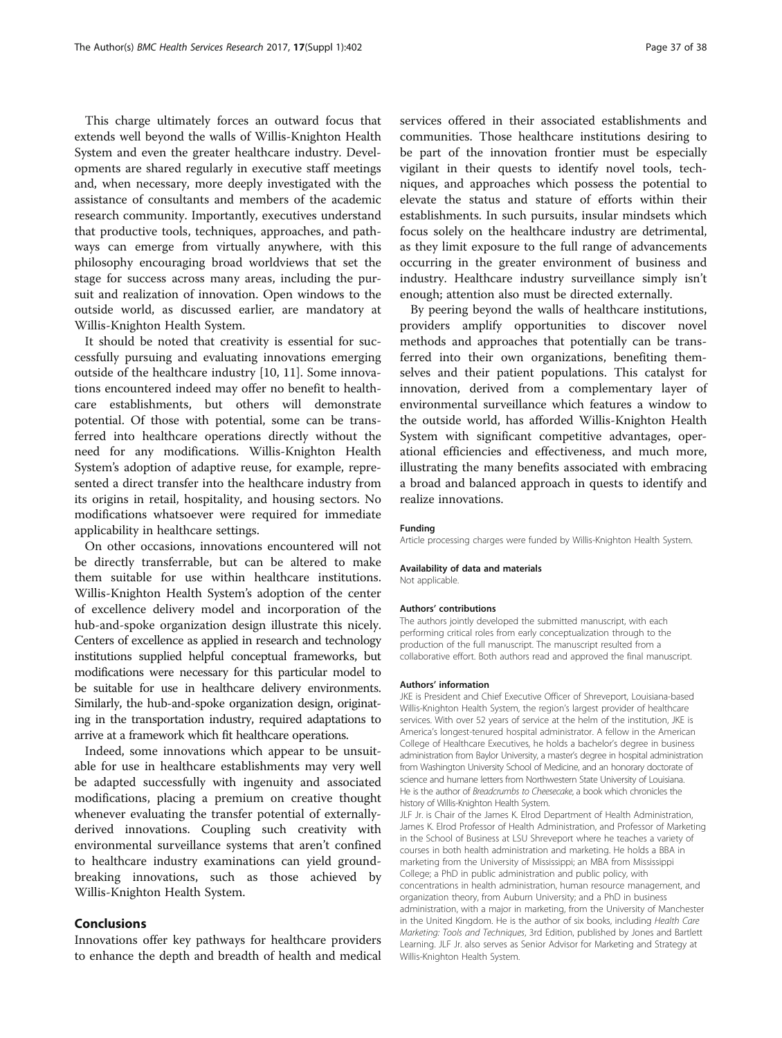This charge ultimately forces an outward focus that extends well beyond the walls of Willis-Knighton Health System and even the greater healthcare industry. Developments are shared regularly in executive staff meetings and, when necessary, more deeply investigated with the assistance of consultants and members of the academic research community. Importantly, executives understand that productive tools, techniques, approaches, and pathways can emerge from virtually anywhere, with this philosophy encouraging broad worldviews that set the stage for success across many areas, including the pursuit and realization of innovation. Open windows to the outside world, as discussed earlier, are mandatory at Willis-Knighton Health System.

It should be noted that creativity is essential for successfully pursuing and evaluating innovations emerging outside of the healthcare industry [[10, 11\]](#page-3-0). Some innovations encountered indeed may offer no benefit to healthcare establishments, but others will demonstrate potential. Of those with potential, some can be transferred into healthcare operations directly without the need for any modifications. Willis-Knighton Health System's adoption of adaptive reuse, for example, represented a direct transfer into the healthcare industry from its origins in retail, hospitality, and housing sectors. No modifications whatsoever were required for immediate applicability in healthcare settings.

On other occasions, innovations encountered will not be directly transferrable, but can be altered to make them suitable for use within healthcare institutions. Willis-Knighton Health System's adoption of the center of excellence delivery model and incorporation of the hub-and-spoke organization design illustrate this nicely. Centers of excellence as applied in research and technology institutions supplied helpful conceptual frameworks, but modifications were necessary for this particular model to be suitable for use in healthcare delivery environments. Similarly, the hub-and-spoke organization design, originating in the transportation industry, required adaptations to arrive at a framework which fit healthcare operations.

Indeed, some innovations which appear to be unsuitable for use in healthcare establishments may very well be adapted successfully with ingenuity and associated modifications, placing a premium on creative thought whenever evaluating the transfer potential of externallyderived innovations. Coupling such creativity with environmental surveillance systems that aren't confined to healthcare industry examinations can yield groundbreaking innovations, such as those achieved by Willis-Knighton Health System.

# Conclusions

Innovations offer key pathways for healthcare providers to enhance the depth and breadth of health and medical services offered in their associated establishments and communities. Those healthcare institutions desiring to be part of the innovation frontier must be especially vigilant in their quests to identify novel tools, techniques, and approaches which possess the potential to elevate the status and stature of efforts within their establishments. In such pursuits, insular mindsets which focus solely on the healthcare industry are detrimental, as they limit exposure to the full range of advancements occurring in the greater environment of business and industry. Healthcare industry surveillance simply isn't enough; attention also must be directed externally.

By peering beyond the walls of healthcare institutions, providers amplify opportunities to discover novel methods and approaches that potentially can be transferred into their own organizations, benefiting themselves and their patient populations. This catalyst for innovation, derived from a complementary layer of environmental surveillance which features a window to the outside world, has afforded Willis-Knighton Health System with significant competitive advantages, operational efficiencies and effectiveness, and much more, illustrating the many benefits associated with embracing a broad and balanced approach in quests to identify and realize innovations.

#### Funding

Article processing charges were funded by Willis-Knighton Health System.

#### Availability of data and materials

Not applicable.

#### Authors' contributions

The authors jointly developed the submitted manuscript, with each performing critical roles from early conceptualization through to the production of the full manuscript. The manuscript resulted from a collaborative effort. Both authors read and approved the final manuscript.

#### Authors' information

JKE is President and Chief Executive Officer of Shreveport, Louisiana-based Willis-Knighton Health System, the region's largest provider of healthcare services. With over 52 years of service at the helm of the institution, JKE is America's longest-tenured hospital administrator. A fellow in the American College of Healthcare Executives, he holds a bachelor's degree in business administration from Baylor University, a master's degree in hospital administration from Washington University School of Medicine, and an honorary doctorate of science and humane letters from Northwestern State University of Louisiana. He is the author of Breadcrumbs to Cheesecake, a book which chronicles the history of Willis-Knighton Health System.

JLF Jr. is Chair of the James K. Elrod Department of Health Administration, James K. Elrod Professor of Health Administration, and Professor of Marketing in the School of Business at LSU Shreveport where he teaches a variety of courses in both health administration and marketing. He holds a BBA in marketing from the University of Mississippi; an MBA from Mississippi College; a PhD in public administration and public policy, with concentrations in health administration, human resource management, and organization theory, from Auburn University; and a PhD in business administration, with a major in marketing, from the University of Manchester in the United Kingdom. He is the author of six books, including Health Care Marketing: Tools and Techniques, 3rd Edition, published by Jones and Bartlett Learning. JLF Jr. also serves as Senior Advisor for Marketing and Strategy at Willis-Knighton Health System.